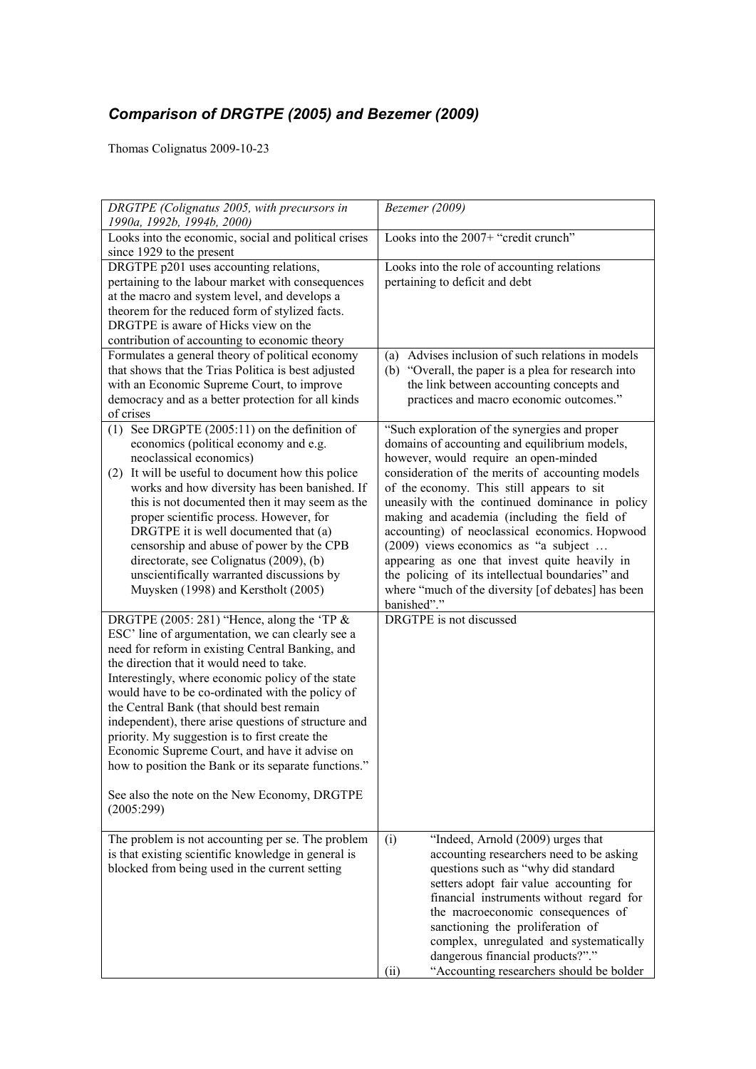## *Comparison of DRGTPE (2005) and Bezemer (2009)*

Thomas Colignatus 2009-10-23

| DRGTPE (Colignatus 2005, with precursors in<br>1990a, 1992b, 1994b, 2000)                                                                                                                                                                                                                                                                                                                                                                                                                                                                                                                                                                 | Bezemer (2009)                                                                                                                                                                                                                                                                                                                                                                                                                                                                                                                                                                                                 |
|-------------------------------------------------------------------------------------------------------------------------------------------------------------------------------------------------------------------------------------------------------------------------------------------------------------------------------------------------------------------------------------------------------------------------------------------------------------------------------------------------------------------------------------------------------------------------------------------------------------------------------------------|----------------------------------------------------------------------------------------------------------------------------------------------------------------------------------------------------------------------------------------------------------------------------------------------------------------------------------------------------------------------------------------------------------------------------------------------------------------------------------------------------------------------------------------------------------------------------------------------------------------|
| Looks into the economic, social and political crises<br>since 1929 to the present                                                                                                                                                                                                                                                                                                                                                                                                                                                                                                                                                         | Looks into the 2007+ "credit crunch"                                                                                                                                                                                                                                                                                                                                                                                                                                                                                                                                                                           |
| DRGTPE p201 uses accounting relations,<br>pertaining to the labour market with consequences<br>at the macro and system level, and develops a<br>theorem for the reduced form of stylized facts.<br>DRGTPE is aware of Hicks view on the<br>contribution of accounting to economic theory                                                                                                                                                                                                                                                                                                                                                  | Looks into the role of accounting relations<br>pertaining to deficit and debt                                                                                                                                                                                                                                                                                                                                                                                                                                                                                                                                  |
| Formulates a general theory of political economy<br>that shows that the Trias Politica is best adjusted<br>with an Economic Supreme Court, to improve<br>democracy and as a better protection for all kinds<br>of crises                                                                                                                                                                                                                                                                                                                                                                                                                  | (a) Advises inclusion of such relations in models<br>(b) "Overall, the paper is a plea for research into<br>the link between accounting concepts and<br>practices and macro economic outcomes."                                                                                                                                                                                                                                                                                                                                                                                                                |
| (1) See DRGPTE $(2005:11)$ on the definition of<br>economics (political economy and e.g.<br>neoclassical economics)<br>(2) It will be useful to document how this police<br>works and how diversity has been banished. If<br>this is not documented then it may seem as the<br>proper scientific process. However, for<br>DRGTPE it is well documented that (a)<br>censorship and abuse of power by the CPB<br>directorate, see Colignatus (2009), (b)<br>unscientifically warranted discussions by<br>Muysken (1998) and Kerstholt (2005)                                                                                                | "Such exploration of the synergies and proper<br>domains of accounting and equilibrium models,<br>however, would require an open-minded<br>consideration of the merits of accounting models<br>of the economy. This still appears to sit<br>uneasily with the continued dominance in policy<br>making and academia (including the field of<br>accounting) of neoclassical economics. Hopwood<br>(2009) views economics as "a subject<br>appearing as one that invest quite heavily in<br>the policing of its intellectual boundaries" and<br>where "much of the diversity [of debates] has been<br>banished"." |
| DRGTPE (2005: 281) "Hence, along the 'TP $\&$<br>ESC' line of argumentation, we can clearly see a<br>need for reform in existing Central Banking, and<br>the direction that it would need to take.<br>Interestingly, where economic policy of the state<br>would have to be co-ordinated with the policy of<br>the Central Bank (that should best remain<br>independent), there arise questions of structure and<br>priority. My suggestion is to first create the<br>Economic Supreme Court, and have it advise on<br>how to position the Bank or its separate functions."<br>See also the note on the New Economy, DRGTPE<br>(2005:299) | DRGTPE is not discussed                                                                                                                                                                                                                                                                                                                                                                                                                                                                                                                                                                                        |
| The problem is not accounting per se. The problem<br>is that existing scientific knowledge in general is<br>blocked from being used in the current setting                                                                                                                                                                                                                                                                                                                                                                                                                                                                                | "Indeed, Arnold (2009) urges that<br>(i)<br>accounting researchers need to be asking<br>questions such as "why did standard<br>setters adopt fair value accounting for<br>financial instruments without regard for<br>the macroeconomic consequences of<br>sanctioning the proliferation of<br>complex, unregulated and systematically<br>dangerous financial products?"."<br>"Accounting researchers should be bolder<br>(ii)                                                                                                                                                                                 |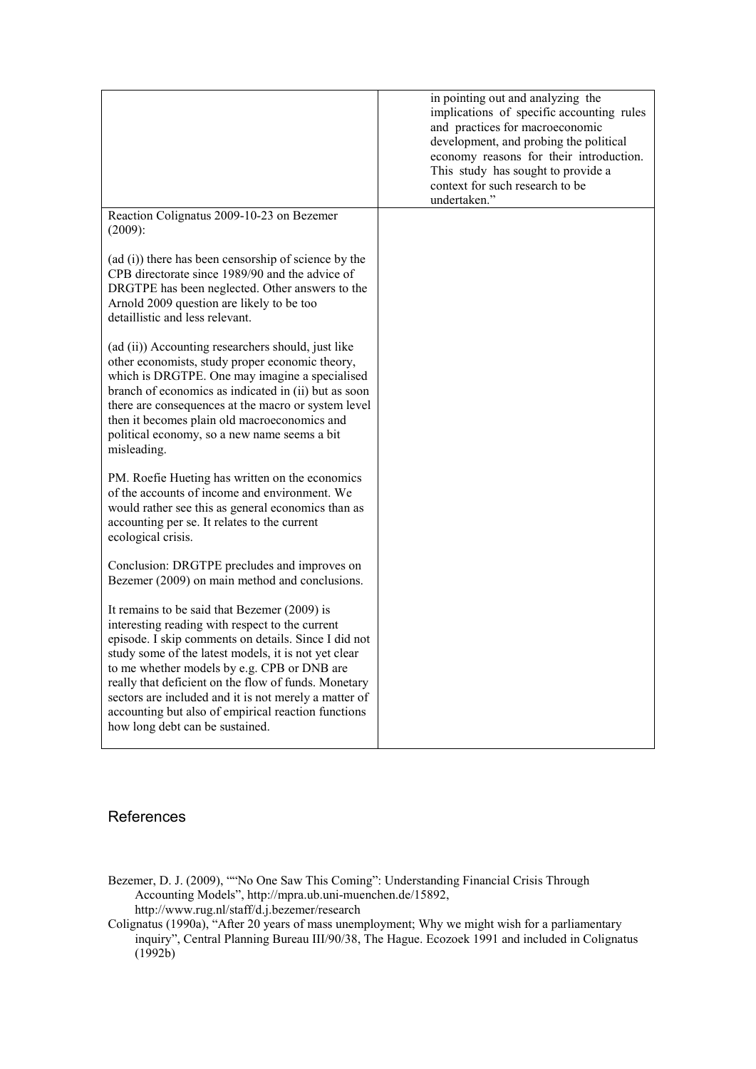|                                                                                                                                                                                                                                                                                                                                                                                                                                                                           | in pointing out and analyzing the<br>implications of specific accounting rules<br>and practices for macroeconomic<br>development, and probing the political<br>economy reasons for their introduction.<br>This study has sought to provide a<br>context for such research to be<br>undertaken." |
|---------------------------------------------------------------------------------------------------------------------------------------------------------------------------------------------------------------------------------------------------------------------------------------------------------------------------------------------------------------------------------------------------------------------------------------------------------------------------|-------------------------------------------------------------------------------------------------------------------------------------------------------------------------------------------------------------------------------------------------------------------------------------------------|
| Reaction Colignatus 2009-10-23 on Bezemer<br>$(2009)$ :                                                                                                                                                                                                                                                                                                                                                                                                                   |                                                                                                                                                                                                                                                                                                 |
| (ad (i)) there has been censorship of science by the<br>CPB directorate since 1989/90 and the advice of<br>DRGTPE has been neglected. Other answers to the<br>Arnold 2009 question are likely to be too<br>detaillistic and less relevant.                                                                                                                                                                                                                                |                                                                                                                                                                                                                                                                                                 |
| (ad (ii)) Accounting researchers should, just like<br>other economists, study proper economic theory,<br>which is DRGTPE. One may imagine a specialised<br>branch of economics as indicated in (ii) but as soon<br>there are consequences at the macro or system level<br>then it becomes plain old macroeconomics and<br>political economy, so a new name seems a bit<br>misleading.                                                                                     |                                                                                                                                                                                                                                                                                                 |
| PM. Roefie Hueting has written on the economics<br>of the accounts of income and environment. We<br>would rather see this as general economics than as<br>accounting per se. It relates to the current<br>ecological crisis.                                                                                                                                                                                                                                              |                                                                                                                                                                                                                                                                                                 |
| Conclusion: DRGTPE precludes and improves on<br>Bezemer (2009) on main method and conclusions.                                                                                                                                                                                                                                                                                                                                                                            |                                                                                                                                                                                                                                                                                                 |
| It remains to be said that Bezemer (2009) is<br>interesting reading with respect to the current<br>episode. I skip comments on details. Since I did not<br>study some of the latest models, it is not yet clear<br>to me whether models by e.g. CPB or DNB are<br>really that deficient on the flow of funds. Monetary<br>sectors are included and it is not merely a matter of<br>accounting but also of empirical reaction functions<br>how long debt can be sustained. |                                                                                                                                                                                                                                                                                                 |

## References

- Bezemer, D. J. (2009), ""No One Saw This Coming": Understanding Financial Crisis Through Accounting Models", http://mpra.ub.uni-muenchen.de/15892, http://www.rug.nl/staff/d.j.bezemer/research
- Colignatus (1990a), "After 20 years of mass unemployment; Why we might wish for a parliamentary inquiry", Central Planning Bureau III/90/38, The Hague. Ecozoek 1991 and included in Colignatus  $(1992b)$